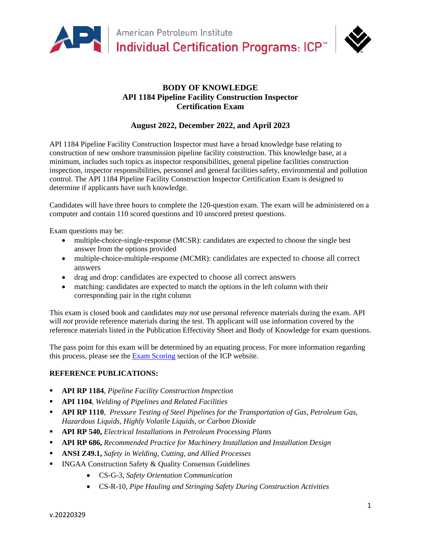

# **BODY OF KNOWLEDGE API 1184 Pipeline Facility Construction Inspector Certification Exam**

# **August 2022, December 2022, and April 2023**

API 1184 Pipeline Facility Construction Inspector must have a broad knowledge base relating to construction of new onshore transmission pipeline facility construction. This knowledge base, at a minimum, includes such topics as inspector responsibilities, general pipeline facilities construction inspection, inspector responsibilities, personnel and general facilities safety, environmental and pollution control. The API 1184 Pipeline Facility Construction Inspector Certification Exam is designed to determine if applicants have such knowledge.

Candidates will have three hours to complete the 120-question exam. The exam will be administered on a computer and contain 110 scored questions and 10 unscored pretest questions.

Exam questions may be:

- multiple-choice-single-response (MCSR): candidates are expected to choose the single best answer from the options provided
- multiple-choice-multiple-response (MCMR): candidates are expected to choose all correct answers
- drag and drop: candidates are expected to choose all correct answers
- matching: candidates are expected to match the options in the left column with their corresponding pair in the right column

This exam is closed book and candidates *may not* use personal reference materials during the exam. API will *not* provide reference materials during the test. Th applicant will use information covered by the reference materials listed in the Publication Effectivity Sheet and Body of Knowledge for exam questions.

The pass point for this exam will be determined by an equating process. For more information regarding this process, please see the [Exam Scoring](https://www.api.org/products-and-services/individual-certification-programs/schedule-exams#tab-exam-scoring) section of the ICP website.

## **REFERENCE PUBLICATIONS:**

- **API RP 1184**, *Pipeline Facility Construction Inspection*
- **API 1104**, *Welding of Pipelines and Related Facilities*
- **API RP 1110**, *Pressure Testing of Steel Pipelines for the Transportation of Gas, Petroleum Gas, Hazardous Liquids, Highly Volatile Liquids, or Carbon Dioxide*
- **API RP 540,** *Electrical Installations in Petroleum Processing Plants*
- **API RP 686,** *Recommended Practice for Machinery Installation and Installation Design*
- **ANSI Z49.1,** *Safety in Welding, Cutting, and Allied Processes*
- **INGAA Construction Safety & Quality Consensus Guidelines** 
	- CS-G-3, *Safety Orientation Communication*
	- CS-R-10, *Pipe Hauling and Stringing Safety During Construction Activities*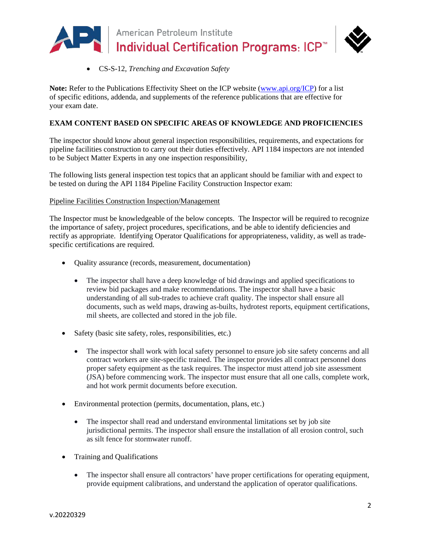

• CS-S-12, *Trenching and Excavation Safety*

**Note:** Refer to the Publications Effectivity Sheet on the ICP website [\(www.api.org/ICP\)](http://www.api.org/ICP) for a list of specific editions, addenda, and supplements of the reference publications that are effective for your exam date.

## **EXAM CONTENT BASED ON SPECIFIC AREAS OF KNOWLEDGE AND PROFICIENCIES**

The inspector should know about general inspection responsibilities, requirements, and expectations for pipeline facilities construction to carry out their duties effectively. API 1184 inspectors are not intended to be Subject Matter Experts in any one inspection responsibility,

The following lists general inspection test topics that an applicant should be familiar with and expect to be tested on during the API 1184 Pipeline Facility Construction Inspector exam:

Pipeline Facilities Construction Inspection/Management

The Inspector must be knowledgeable of the below concepts. The Inspector will be required to recognize the importance of safety, project procedures, specifications, and be able to identify deficiencies and rectify as appropriate. Identifying Operator Qualifications for appropriateness, validity, as well as tradespecific certifications are required.

- Quality assurance (records, measurement, documentation)
	- The inspector shall have a deep knowledge of bid drawings and applied specifications to review bid packages and make recommendations. The inspector shall have a basic understanding of all sub-trades to achieve craft quality. The inspector shall ensure all documents, such as weld maps, drawing as-builts, hydrotest reports, equipment certifications, mil sheets, are collected and stored in the job file.
- Safety (basic site safety, roles, responsibilities, etc.)
	- The inspector shall work with local safety personnel to ensure job site safety concerns and all contract workers are site-specific trained. The inspector provides all contract personnel dons proper safety equipment as the task requires. The inspector must attend job site assessment (JSA) before commencing work. The inspector must ensure that all one calls, complete work, and hot work permit documents before execution.
- Environmental protection (permits, documentation, plans, etc.)
	- The inspector shall read and understand environmental limitations set by job site jurisdictional permits. The inspector shall ensure the installation of all erosion control, such as silt fence for stormwater runoff.
- Training and Qualifications
	- The inspector shall ensure all contractors' have proper certifications for operating equipment, provide equipment calibrations, and understand the application of operator qualifications.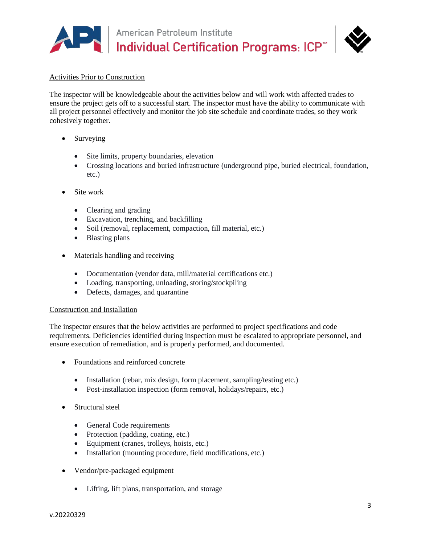



### Activities Prior to Construction

The inspector will be knowledgeable about the activities below and will work with affected trades to ensure the project gets off to a successful start. The inspector must have the ability to communicate with all project personnel effectively and monitor the job site schedule and coordinate trades, so they work cohesively together.

- Surveying
	- Site limits, property boundaries, elevation
	- Crossing locations and buried infrastructure (underground pipe, buried electrical, foundation, etc.)
- Site work
	- Clearing and grading
	- Excavation, trenching, and backfilling
	- Soil (removal, replacement, compaction, fill material, etc.)
	- Blasting plans
- Materials handling and receiving
	- Documentation (vendor data, mill/material certifications etc.)
	- Loading, transporting, unloading, storing/stockpiling
	- Defects, damages, and quarantine

### Construction and Installation

The inspector ensures that the below activities are performed to project specifications and code requirements. Deficiencies identified during inspection must be escalated to appropriate personnel, and ensure execution of remediation, and is properly performed, and documented.

- Foundations and reinforced concrete
	- Installation (rebar, mix design, form placement, sampling/testing etc.)
	- Post-installation inspection (form removal, holidays/repairs, etc.)
- Structural steel
	- General Code requirements
	- Protection (padding, coating, etc.)
	- Equipment (cranes, trolleys, hoists, etc.)
	- Installation (mounting procedure, field modifications, etc.)
- Vendor/pre-packaged equipment
	- Lifting, lift plans, transportation, and storage